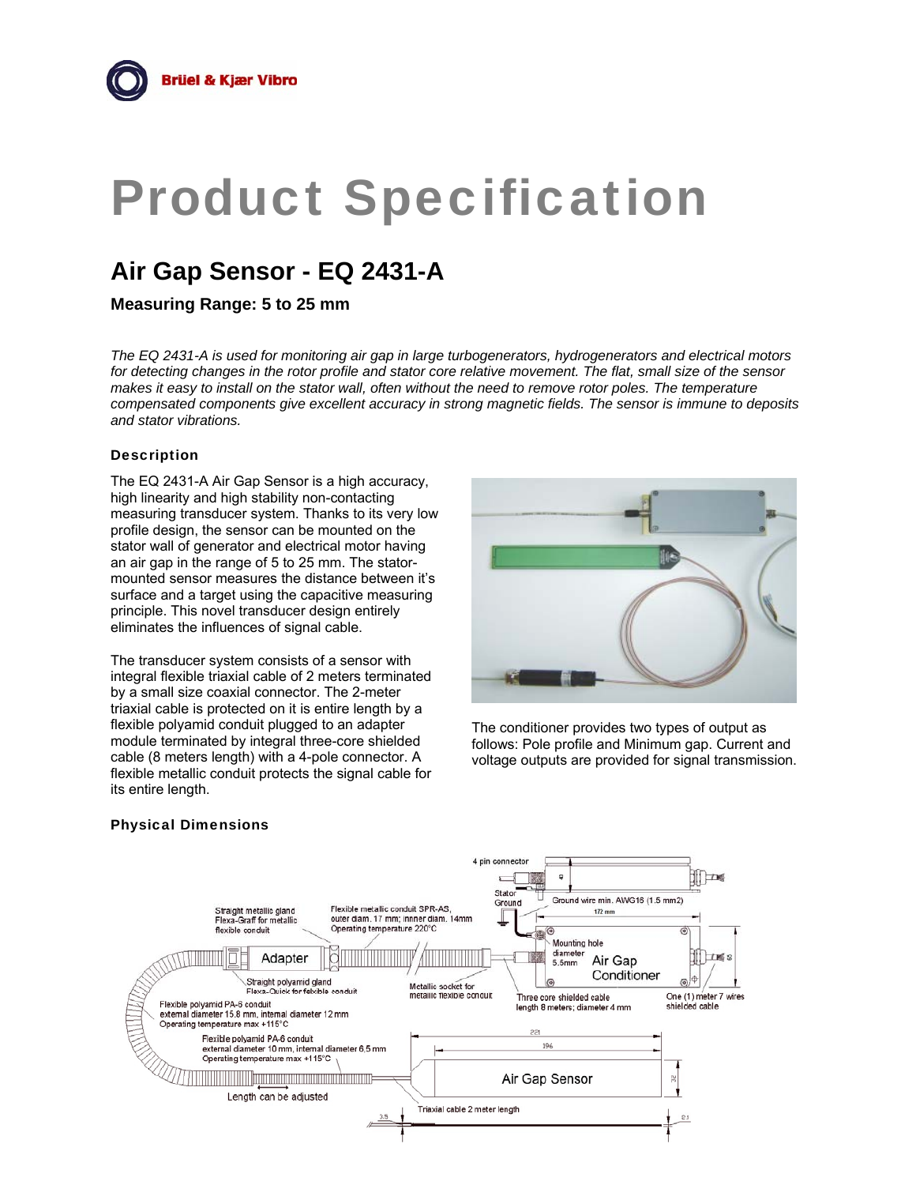# Product Specification

# **Air Gap Sensor - EQ 2431-A**

**Measuring Range: 5 to 25 mm** 

*The EQ 2431-A is used for monitoring air gap in large turbogenerators, hydrogenerators and electrical motors for detecting changes in the rotor profile and stator core relative movement. The flat, small size of the sensor makes it easy to install on the stator wall, often without the need to remove rotor poles. The temperature compensated components give excellent accuracy in strong magnetic fields. The sensor is immune to deposits and stator vibrations.*

## **Description**

The EQ 2431-A Air Gap Sensor is a high accuracy, high linearity and high stability non-contacting measuring transducer system. Thanks to its very low profile design, the sensor can be mounted on the stator wall of generator and electrical motor having an air gap in the range of 5 to 25 mm. The statormounted sensor measures the distance between it's surface and a target using the capacitive measuring principle. This novel transducer design entirely eliminates the influences of signal cable.

The transducer system consists of a sensor with integral flexible triaxial cable of 2 meters terminated by a small size coaxial connector. The 2-meter triaxial cable is protected on it is entire length by a flexible polyamid conduit plugged to an adapter module terminated by integral three-core shielded cable (8 meters length) with a 4-pole connector. A flexible metallic conduit protects the signal cable for its entire length.



The conditioner provides two types of output as follows: Pole profile and Minimum gap. Current and voltage outputs are provided for signal transmission.

#### Physical Dimensions